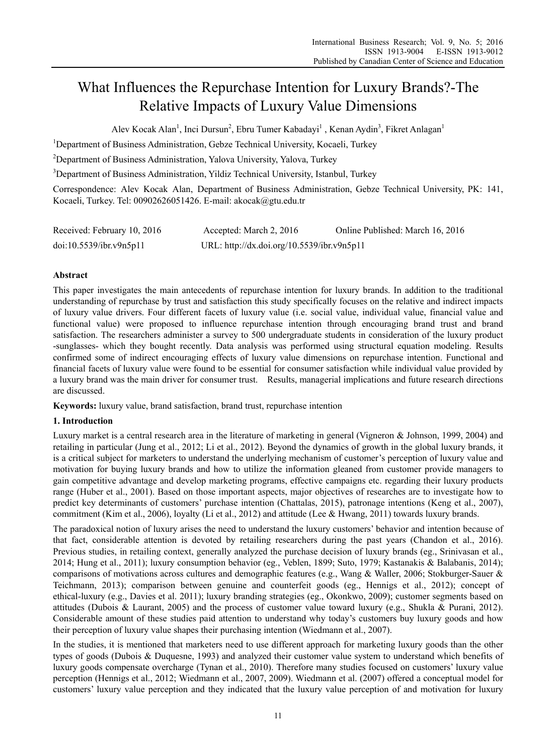# What Influences the Repurchase Intention for Luxury Brands?-The Relative Impacts of Luxury Value Dimensions

Alev Kocak Alan<sup>1</sup>, Inci Dursun<sup>2</sup>, Ebru Tumer Kabadayi<sup>1</sup>, Kenan Aydin<sup>3</sup>, Fikret Anlagan<sup>1</sup>

<sup>1</sup>Department of Business Administration, Gebze Technical University, Kocaeli, Turkey

<sup>2</sup>Department of Business Administration, Yalova University, Yalova, Turkey

<sup>3</sup>Department of Business Administration, Yildiz Technical University, Istanbul, Turkey

Correspondence: Alev Kocak Alan, Department of Business Administration, Gebze Technical University, PK: 141, Kocaeli, Turkey. Tel: 00902626051426. E-mail: akocak@gtu.edu.tr

| Received: February 10, 2016 | Accepted: March 2, 2016                    | Online Published: March 16, 2016 |
|-----------------------------|--------------------------------------------|----------------------------------|
| doi:10.5539/ibr.v9n5p11     | URL: http://dx.doi.org/10.5539/ibr.v9n5p11 |                                  |

# **Abstract**

This paper investigates the main antecedents of repurchase intention for luxury brands. In addition to the traditional understanding of repurchase by trust and satisfaction this study specifically focuses on the relative and indirect impacts of luxury value drivers. Four different facets of luxury value (i.e. social value, individual value, financial value and functional value) were proposed to influence repurchase intention through encouraging brand trust and brand satisfaction. The researchers administer a survey to 500 undergraduate students in consideration of the luxury product -sunglasses- which they bought recently. Data analysis was performed using structural equation modeling. Results confirmed some of indirect encouraging effects of luxury value dimensions on repurchase intention. Functional and financial facets of luxury value were found to be essential for consumer satisfaction while individual value provided by a luxury brand was the main driver for consumer trust. Results, managerial implications and future research directions are discussed.

**Keywords:** luxury value, brand satisfaction, brand trust, repurchase intention

# **1. Introduction**

Luxury market is a central research area in the literature of marketing in general (Vigneron & Johnson, 1999, 2004) and retailing in particular (Jung et al., 2012; Li et al., 2012). Beyond the dynamics of growth in the global luxury brands, it is a critical subject for marketers to understand the underlying mechanism of customer's perception of luxury value and motivation for buying luxury brands and how to utilize the information gleaned from customer provide managers to gain competitive advantage and develop marketing programs, effective campaigns etc. regarding their luxury products range (Huber et al., 2001). Based on those important aspects, major objectives of researches are to investigate how to predict key determinants of customers' purchase intention (Chattalas, 2015), patronage intentions (Keng et al., 2007), commitment (Kim et al., 2006), loyalty (Li et al., 2012) and attitude (Lee & Hwang, 2011) towards luxury brands.

The paradoxical notion of luxury arises the need to understand the luxury customers' behavior and intention because of that fact, considerable attention is devoted by retailing researchers during the past years (Chandon et al., 2016). Previous studies, in retailing context, generally analyzed the purchase decision of luxury brands (eg., Srinivasan et al., 2014; Hung et al., 2011); luxury consumption behavior (eg., Veblen, 1899; Suto, 1979; Kastanakis & Balabanis, 2014); comparisons of motivations across cultures and demographic features (e.g., Wang & Waller, 2006; Stokburger-Sauer & Teichmann, 2013); comparison between genuine and counterfeit goods (eg., Hennigs et al., 2012); concept of ethical-luxury (e.g., Davies et al. 2011); luxury branding strategies (eg., Okonkwo, 2009); customer segments based on attitudes (Dubois & Laurant, 2005) and the process of customer value toward luxury (e.g., Shukla & Purani, 2012). Considerable amount of these studies paid attention to understand why today's customers buy luxury goods and how their perception of luxury value shapes their purchasing intention (Wiedmann et al., 2007).

In the studies, it is mentioned that marketers need to use different approach for marketing luxury goods than the other types of goods (Dubois & Duquesne, 1993) and analyzed their customer value system to understand which benefits of luxury goods compensate overcharge (Tynan et al., 2010). Therefore many studies focused on customers' luxury value perception (Hennigs et al., 2012; Wiedmann et al., 2007, 2009). Wiedmann et al. (2007) offered a conceptual model for customers' luxury value perception and they indicated that the luxury value perception of and motivation for luxury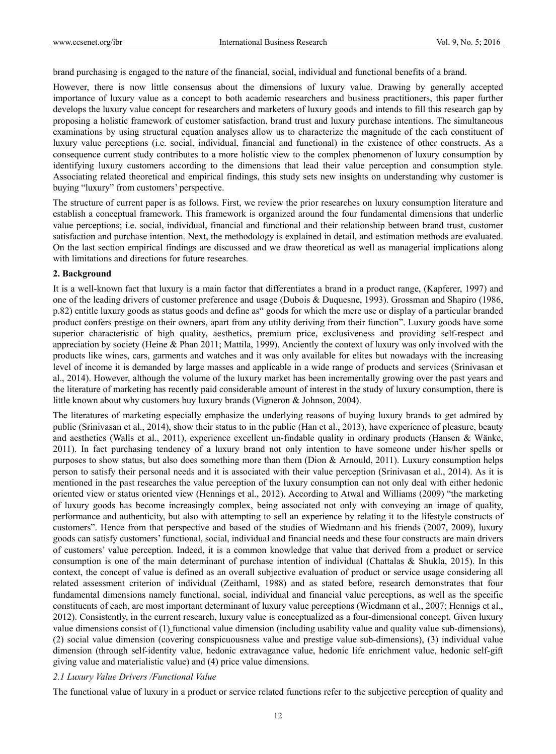brand purchasing is engaged to the nature of the financial, social, individual and functional benefits of a brand.

However, there is now little consensus about the dimensions of luxury value. Drawing by generally accepted importance of luxury value as a concept to both academic researchers and business practitioners, this paper further develops the luxury value concept for researchers and marketers of luxury goods and intends to fill this research gap by proposing a holistic framework of customer satisfaction, brand trust and luxury purchase intentions. The simultaneous examinations by using structural equation analyses allow us to characterize the magnitude of the each constituent of luxury value perceptions (i.e. social, individual, financial and functional) in the existence of other constructs. As a consequence current study contributes to a more holistic view to the complex phenomenon of luxury consumption by identifying luxury customers according to the dimensions that lead their value perception and consumption style. Associating related theoretical and empirical findings, this study sets new insights on understanding why customer is buying "luxury" from customers' perspective.

The structure of current paper is as follows. First, we review the prior researches on luxury consumption literature and establish a conceptual framework. This framework is organized around the four fundamental dimensions that underlie value perceptions; i.e. social, individual, financial and functional and their relationship between brand trust, customer satisfaction and purchase intention. Next, the methodology is explained in detail, and estimation methods are evaluated. On the last section empirical findings are discussed and we draw theoretical as well as managerial implications along with limitations and directions for future researches.

## **2. Background**

It is a well-known fact that luxury is a main factor that differentiates a brand in a product range, (Kapferer, 1997) and one of the leading drivers of customer preference and usage (Dubois & Duquesne, 1993). Grossman and Shapiro (1986, p.82) entitle luxury goods as status goods and define as" goods for which the mere use or display of a particular branded product confers prestige on their owners, apart from any utility deriving from their function". Luxury goods have some superior characteristic of high quality, aesthetics, premium price, exclusiveness and providing self-respect and appreciation by society (Heine & Phan 2011; Mattila, 1999). Anciently the context of luxury was only involved with the products like wines, cars, garments and watches and it was only available for elites but nowadays with the increasing level of income it is demanded by large masses and applicable in a wide range of products and services (Srinivasan et al., 2014). However, although the volume of the luxury market has been incrementally growing over the past years and the literature of marketing has recently paid considerable amount of interest in the study of luxury consumption, there is little known about why customers buy luxury brands (Vigneron & Johnson, 2004).

The literatures of marketing especially emphasize the underlying reasons of buying luxury brands to get admired by public (Srinivasan et al., 2014), show their status to in the public (Han et al., 2013), have experience of pleasure, beauty and aesthetics (Walls et al., 2011), experience excellent un-findable quality in ordinary products (Hansen & Wänke, 2011). In fact purchasing tendency of a luxury brand not only intention to have someone under his/her spells or purposes to show status, but also does something more than them (Dion & Arnould, 2011). Luxury consumption helps person to satisfy their personal needs and it is associated with their value perception (Srinivasan et al., 2014). As it is mentioned in the past researches the value perception of the luxury consumption can not only deal with either hedonic oriented view or status oriented view (Hennings et al., 2012). According to Atwal and Williams (2009) "the marketing of luxury goods has become increasingly complex, being associated not only with conveying an image of quality, performance and authenticity, but also with attempting to sell an experience by relating it to the lifestyle constructs of customers". Hence from that perspective and based of the studies of Wiedmann and his friends (2007, 2009), luxury goods can satisfy customers' functional, social, individual and financial needs and these four constructs are main drivers of customers' value perception. Indeed, it is a common knowledge that value that derived from a product or service consumption is one of the main determinant of purchase intention of individual (Chattalas & Shukla, 2015). In this context, the concept of value is defined as an overall subjective evaluation of product or service usage considering all related assessment criterion of individual (Zeithaml, 1988) and as stated before, research demonstrates that four fundamental dimensions namely functional, social, individual and financial value perceptions, as well as the specific constituents of each, are most important determinant of luxury value perceptions (Wiedmann et al., 2007; Hennigs et al., 2012). Consistently, in the current research, luxury value is conceptualized as a four-dimensional concept. Given luxury value dimensions consist of (1) functional value dimension (including usability value and quality value sub-dimensions), (2) social value dimension (covering conspicuousness value and prestige value sub-dimensions), (3) individual value dimension (through self-identity value, hedonic extravagance value, hedonic life enrichment value, hedonic self-gift giving value and materialistic value) and (4) price value dimensions.

## *2.1 Luxury Value Drivers /Functional Value*

The functional value of luxury in a product or service related functions refer to the subjective perception of quality and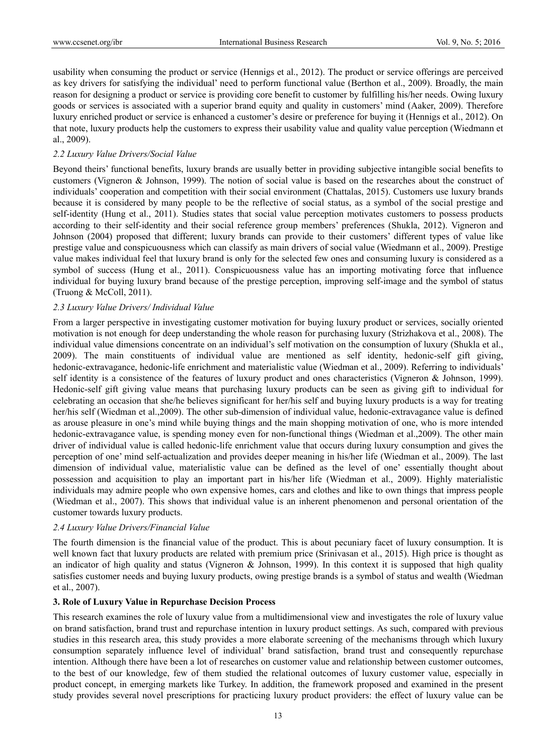usability when consuming the product or service (Hennigs et al., 2012). The product or service offerings are perceived as key drivers for satisfying the individual' need to perform functional value (Berthon et al., 2009). Broadly, the main reason for designing a product or service is providing core benefit to customer by fulfilling his/her needs. Owing luxury goods or services is associated with a superior brand equity and quality in customers' mind (Aaker, 2009). Therefore luxury enriched product or service is enhanced a customer's desire or preference for buying it (Hennigs et al., 2012). On that note, luxury products help the customers to express their usability value and quality value perception (Wiedmann et al., 2009).

## *2.2 Luxury Value Drivers/Social Value*

Beyond theirs' functional benefits, luxury brands are usually better in providing subjective intangible social benefits to customers (Vigneron & Johnson, 1999). The notion of social value is based on the researches about the construct of individuals' cooperation and competition with their social environment (Chattalas, 2015). Customers use luxury brands because it is considered by many people to be the reflective of social status, as a symbol of the social prestige and self-identity (Hung et al., 2011). Studies states that social value perception motivates customers to possess products according to their self-identity and their social reference group members' preferences (Shukla, 2012). Vigneron and Johnson (2004) proposed that different; luxury brands can provide to their customers' different types of value like prestige value and conspicuousness which can classify as main drivers of social value (Wiedmann et al., 2009). Prestige value makes individual feel that luxury brand is only for the selected few ones and consuming luxury is considered as a symbol of success (Hung et al., 2011). Conspicuousness value has an importing motivating force that influence individual for buying luxury brand because of the prestige perception, improving self-image and the symbol of status (Truong & McColl, 2011).

# *2.3 Luxury Value Drivers/ Individual Value*

From a larger perspective in investigating customer motivation for buying luxury product or services, socially oriented motivation is not enough for deep understanding the whole reason for purchasing luxury (Strizhakova et al., 2008). The individual value dimensions concentrate on an individual's self motivation on the consumption of luxury (Shukla et al., 2009). The main constituents of individual value are mentioned as self identity, hedonic-self gift giving, hedonic-extravagance, hedonic-life enrichment and materialistic value (Wiedman et al., 2009). Referring to individuals' self identity is a consistence of the features of luxury product and ones characteristics (Vigneron & Johnson, 1999). Hedonic-self gift giving value means that purchasing luxury products can be seen as giving gift to individual for celebrating an occasion that she/he believes significant for her/his self and buying luxury products is a way for treating her/his self (Wiedman et al., 2009). The other sub-dimension of individual value, hedonic-extravagance value is defined as arouse pleasure in one's mind while buying things and the main shopping motivation of one, who is more intended hedonic-extravagance value, is spending money even for non-functional things (Wiedman et al.,2009). The other main driver of individual value is called hedonic-life enrichment value that occurs during luxury consumption and gives the perception of one' mind self-actualization and provides deeper meaning in his/her life (Wiedman et al., 2009). The last dimension of individual value, materialistic value can be defined as the level of one' essentially thought about possession and acquisition to play an important part in his/her life (Wiedman et al., 2009). Highly materialistic individuals may admire people who own expensive homes, cars and clothes and like to own things that impress people (Wiedman et al., 2007). This shows that individual value is an inherent phenomenon and personal orientation of the customer towards luxury products.

# *2.4 Luxury Value Drivers/Financial Value*

The fourth dimension is the financial value of the product. This is about pecuniary facet of luxury consumption. It is well known fact that luxury products are related with premium price (Srinivasan et al., 2015). High price is thought as an indicator of high quality and status (Vigneron & Johnson, 1999). In this context it is supposed that high quality satisfies customer needs and buying luxury products, owing prestige brands is a symbol of status and wealth (Wiedman et al., 2007).

## **3. Role of Luxury Value in Repurchase Decision Process**

This research examines the role of luxury value from a multidimensional view and investigates the role of luxury value on brand satisfaction, brand trust and repurchase intention in luxury product settings. As such, compared with previous studies in this research area, this study provides a more elaborate screening of the mechanisms through which luxury consumption separately influence level of individual' brand satisfaction, brand trust and consequently repurchase intention. Although there have been a lot of researches on customer value and relationship between customer outcomes, to the best of our knowledge, few of them studied the relational outcomes of luxury customer value, especially in product concept, in emerging markets like Turkey. In addition, the framework proposed and examined in the present study provides several novel prescriptions for practicing luxury product providers: the effect of luxury value can be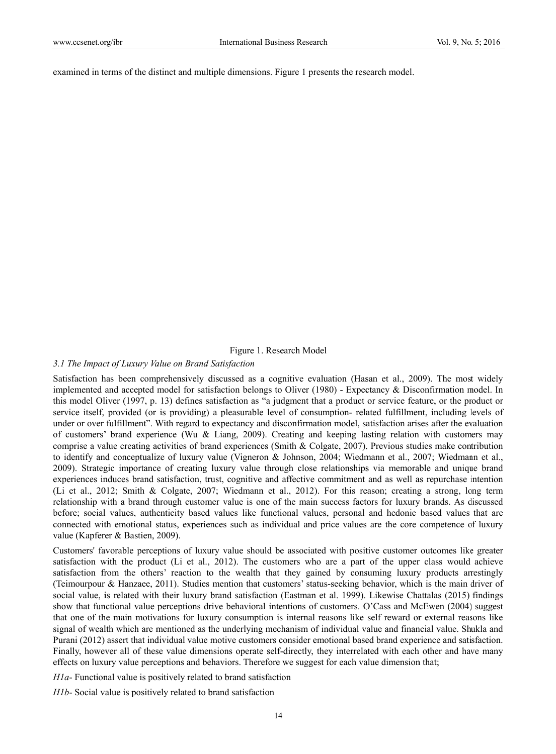examined in terms of the distinct and multiple dimensions. Figure 1 presents the research model.

#### Figure 1. Research Model

## 3.1 The Impact of Luxury Value on Brand Satisfaction

Satisfaction has been comprehensively discussed as a cognitive evaluation (Hasan et al., 2009). The most widely implemented and accepted model for satisfaction belongs to Oliver (1980) - Expectancy & Disconfirmation model. In this model Oliver (1997, p. 13) defines satisfaction as "a judgment that a product or service feature, or the product or service itself, provided (or is providing) a pleasurable level of consumption- related fulfillment, including levels of under or over fulfillment". With regard to expectancy and disconfirmation model, satisfaction arises after the evaluation of customers' brand experience (Wu & Liang, 2009). Creating and keeping lasting relation with customers may comprise a value creating activities of brand experiences (Smith & Colgate, 2007). Previous studies make contribution to identify and conceptualize of luxury value (Vigneron & Johnson, 2004; Wiedmann et al., 2007; Wiedmann et al., 2009). Strategic importance of creating luxury value through close relationships via memorable and unique brand experiences induces brand satisfaction, trust, cognitive and affective commitment and as well as repurchase intention (Li et al., 2012; Smith & Colgate, 2007; Wiedmann et al., 2012). For this reason; creating a strong, long term relationship with a brand through customer value is one of the main success factors for luxury brands. As discussed before; social values, authenticity based values like functional values, personal and hedonic based values that are connected with emotional status, experiences such as individual and price values are the core competence of luxury value (Kapferer & Bastien, 2009).

Customers' favorable perceptions of luxury value should be associated with positive customer outcomes like greater satisfaction with the product (Li et al., 2012). The customers who are a part of the upper class would achieve satisfaction from the others' reaction to the wealth that they gained by consuming luxury products arrestingly (Teimourpour & Hanzaee, 2011). Studies mention that customers' status-seeking behavior, which is the main driver of social value, is related with their luxury brand satisfaction (Eastman et al. 1999). Likewise Chattalas (2015) findings show that functional value perceptions drive behavioral intentions of customers. O'Cass and McEwen (2004) suggest that one of the main motivations for luxury consumption is internal reasons like self reward or external reasons like signal of wealth which are mentioned as the underlying mechanism of individual value and financial value. Shukla and Purani (2012) assert that individual value motive customers consider emotional based brand experience and satisfaction. Finally, however all of these value dimensions operate self-directly, they interrelated with each other and have many effects on luxury value perceptions and behaviors. Therefore we suggest for each value dimension that;

*H1a*- Functional value is positively related to brand satisfaction

H1b- Social value is positively related to brand satisfaction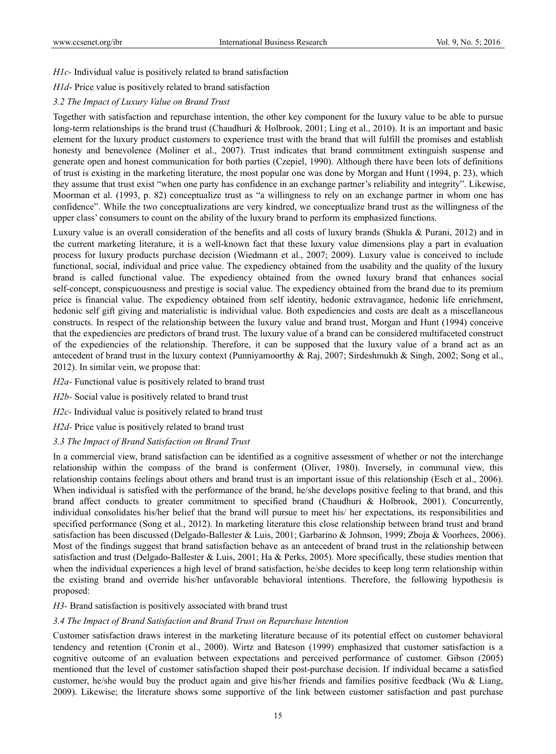*H1c-* Individual value is positively related to brand satisfaction

## *H1d*- Price value is positively related to brand satisfaction

## *3.2 The Impact of Luxury Value on Brand Trust*

Together with satisfaction and repurchase intention, the other key component for the luxury value to be able to pursue long-term relationships is the brand trust (Chaudhuri & Holbrook, 2001; Ling et al., 2010). It is an important and basic element for the luxury product customers to experience trust with the brand that will fulfill the promises and establish honesty and benevolence (Moliner et al., 2007). Trust indicates that brand commitment extinguish suspense and generate open and honest communication for both parties (Czepiel, 1990). Although there have been lots of definitions of trust is existing in the marketing literature, the most popular one was done by Morgan and Hunt (1994, p. 23), which they assume that trust exist "when one party has confidence in an exchange partner's reliability and integrity". Likewise, Moorman et al. (1993, p. 82) conceptualize trust as "a willingness to rely on an exchange partner in whom one has confidence". While the two conceptualizations are very kindred, we conceptualize brand trust as the willingness of the upper class' consumers to count on the ability of the luxury brand to perform its emphasized functions.

Luxury value is an overall consideration of the benefits and all costs of luxury brands (Shukla & Purani, 2012) and in the current marketing literature, it is a well-known fact that these luxury value dimensions play a part in evaluation process for luxury products purchase decision (Wiedmann et al., 2007; 2009). Luxury value is conceived to include functional, social, individual and price value. The expediency obtained from the usability and the quality of the luxury brand is called functional value. The expediency obtained from the owned luxury brand that enhances social self-concept, conspicuousness and prestige is social value. The expediency obtained from the brand due to its premium price is financial value. The expediency obtained from self identity, hedonic extravagance, hedonic life enrichment, hedonic self gift giving and materialistic is individual value. Both expediencies and costs are dealt as a miscellaneous constructs. In respect of the relationship between the luxury value and brand trust, Morgan and Hunt (1994) conceive that the expediencies are predictors of brand trust. The luxury value of a brand can be considered multifaceted construct of the expediencies of the relationship. Therefore, it can be supposed that the luxury value of a brand act as an antecedent of brand trust in the luxury context (Punniyamoorthy & Raj, 2007; Sirdeshmukh & Singh, 2002; Song et al., 2012). In similar vein, we propose that:

*H2a-* Functional value is positively related to brand trust

*H2b-* Social value is positively related to brand trust

*H2c-* Individual value is positively related to brand trust

*H2d-* Price value is positively related to brand trust

#### *3.3 The Impact of Brand Satisfaction on Brand Trust*

In a commercial view, brand satisfaction can be identified as a cognitive assessment of whether or not the interchange relationship within the compass of the brand is conferment (Oliver, 1980). Inversely, in communal view, this relationship contains feelings about others and brand trust is an important issue of this relationship (Esch et al., 2006). When individual is satisfied with the performance of the brand, he/she develops positive feeling to that brand, and this brand affect conducts to greater commitment to specified brand (Chaudhuri & Holbrook, 2001). Concurrently, individual consolidates his/her belief that the brand will pursue to meet his/ her expectations, its responsibilities and specified performance (Song et al., 2012). In marketing literature this close relationship between brand trust and brand satisfaction has been discussed (Delgado-Ballester & Luis, 2001; Garbarino & Johnson, 1999; Zboja & Voorhees, 2006). Most of the findings suggest that brand satisfaction behave as an antecedent of brand trust in the relationship between satisfaction and trust (Delgado-Ballester & Luis, 2001; Ha & Perks, 2005). More specifically, these studies mention that when the individual experiences a high level of brand satisfaction, he/she decides to keep long term relationship within the existing brand and override his/her unfavorable behavioral intentions. Therefore, the following hypothesis is proposed:

*H3-* Brand satisfaction is positively associated with brand trust

## *3.4 The Impact of Brand Satisfaction and Brand Trust on Repurchase Intention*

Customer satisfaction draws interest in the marketing literature because of its potential effect on customer behavioral tendency and retention (Cronin et al., 2000). Wirtz and Bateson (1999) emphasized that customer satisfaction is a cognitive outcome of an evaluation between expectations and perceived performance of customer. Gibson (2005) mentioned that the level of customer satisfaction shaped their post-purchase decision. If individual became a satisfied customer, he/she would buy the product again and give his/her friends and families positive feedback (Wu & Liang, 2009). Likewise; the literature shows some supportive of the link between customer satisfaction and past purchase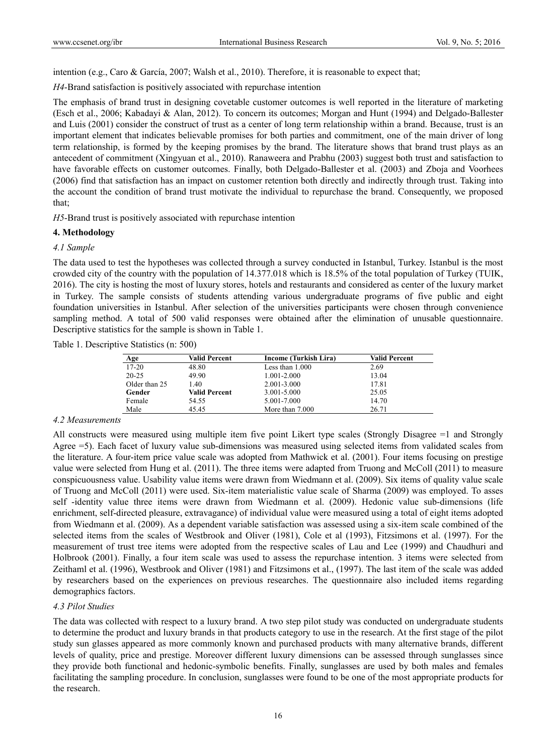intention (e.g., Caro & García, 2007; Walsh et al., 2010). Therefore, it is reasonable to expect that;

*H4*-Brand satisfaction is positively associated with repurchase intention

The emphasis of brand trust in designing covetable customer outcomes is well reported in the literature of marketing (Esch et al., 2006; Kabadayi & Alan, 2012). To concern its outcomes; Morgan and Hunt (1994) and Delgado-Ballester and Luis (2001) consider the construct of trust as a center of long term relationship within a brand. Because, trust is an important element that indicates believable promises for both parties and commitment, one of the main driver of long term relationship, is formed by the keeping promises by the brand. The literature shows that brand trust plays as an antecedent of commitment (Xingyuan et al., 2010). Ranaweera and Prabhu (2003) suggest both trust and satisfaction to have favorable effects on customer outcomes. Finally, both Delgado-Ballester et al. (2003) and Zboja and Voorhees (2006) find that satisfaction has an impact on customer retention both directly and indirectly through trust. Taking into the account the condition of brand trust motivate the individual to repurchase the brand. Consequently, we proposed that;

*H5*-Brand trust is positively associated with repurchase intention

## **4. Methodology**

## *4.1 Sample*

The data used to test the hypotheses was collected through a survey conducted in Istanbul, Turkey. Istanbul is the most crowded city of the country with the population of 14.377.018 which is 18.5% of the total population of Turkey (TUIK, 2016). The city is hosting the most of luxury stores, hotels and restaurants and considered as center of the luxury market in Turkey. The sample consists of students attending various undergraduate programs of five public and eight foundation universities in Istanbul. After selection of the universities participants were chosen through convenience sampling method. A total of 500 valid responses were obtained after the elimination of unusable questionnaire. Descriptive statistics for the sample is shown in Table 1.

Table 1. Descriptive Statistics (n: 500)

| Age           | Valid Percent        | Income (Turkish Lira) | <b>Valid Percent</b> |
|---------------|----------------------|-----------------------|----------------------|
| $17 - 20$     | 48.80                | Less than $1.000$     | 2.69                 |
| $20 - 25$     | 49.90                | 1.001-2.000           | 13.04                |
| Older than 25 | 1.40                 | 2.001-3.000           | 17.81                |
| Gender        | <b>Valid Percent</b> | 3.001-5.000           | 25.05                |
| Female        | 54.55                | 5.001-7.000           | 14.70                |
| Male          | 45.45                | More than 7,000       | 26.71                |

#### *4.2 Measurements*

All constructs were measured using multiple item five point Likert type scales (Strongly Disagree =1 and Strongly Agree =5). Each facet of luxury value sub-dimensions was measured using selected items from validated scales from the literature. A four-item price value scale was adopted from Mathwick et al. (2001). Four items focusing on prestige value were selected from Hung et al. (2011). The three items were adapted from Truong and McColl (2011) to measure conspicuousness value. Usability value items were drawn from Wiedmann et al. (2009). Six items of quality value scale of Truong and McColl (2011) were used. Six-item materialistic value scale of Sharma (2009) was employed. To asses self -identity value three items were drawn from Wiedmann et al. (2009). Hedonic value sub-dimensions (life enrichment, self-directed pleasure, extravagance) of individual value were measured using a total of eight items adopted from Wiedmann et al. (2009). As a dependent variable satisfaction was assessed using a six-item scale combined of the selected items from the scales of Westbrook and Oliver (1981), Cole et al (1993), Fitzsimons et al. (1997). For the measurement of trust tree items were adopted from the respective scales of Lau and Lee (1999) and Chaudhuri and Holbrook (2001). Finally, a four item scale was used to assess the repurchase intention. 3 items were selected from Zeithaml et al. (1996), Westbrook and Oliver (1981) and Fitzsimons et al., (1997). The last item of the scale was added by researchers based on the experiences on previous researches. The questionnaire also included items regarding demographics factors.

#### *4.3 Pilot Studies*

The data was collected with respect to a luxury brand. A two step pilot study was conducted on undergraduate students to determine the product and luxury brands in that products category to use in the research. At the first stage of the pilot study sun glasses appeared as more commonly known and purchased products with many alternative brands, different levels of quality, price and prestige. Moreover different luxury dimensions can be assessed through sunglasses since they provide both functional and hedonic-symbolic benefits. Finally, sunglasses are used by both males and females facilitating the sampling procedure. In conclusion, sunglasses were found to be one of the most appropriate products for the research.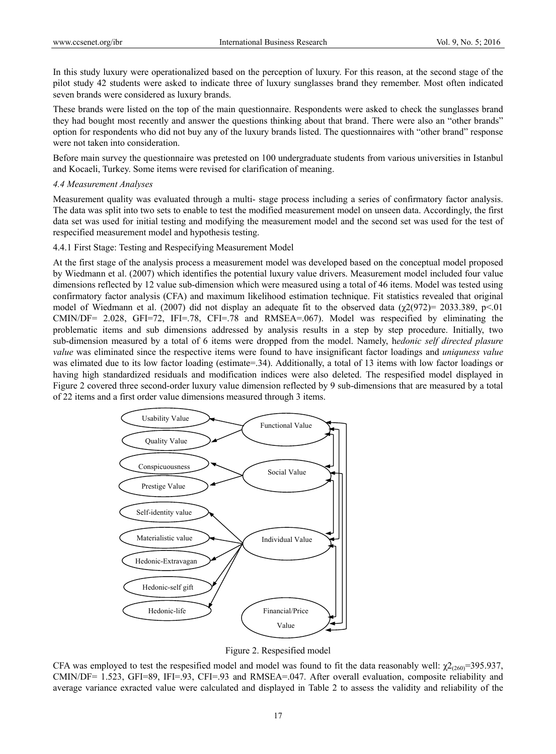In this study luxury were operationalized based on the perception of luxury. For this reason, at the second stage of the pilot study 42 students were asked to indicate three of luxury sunglasses brand they remember. Most often indicated seven brands were considered as luxury brands.

These brands were listed on the top of the main questionnaire. Respondents were asked to check the sunglasses brand they had bought most recently and answer the questions thinking about that brand. There were also an "other brands" option for respondents who did not buy any of the luxury brands listed. The questionnaires with "other brand" response were not taken into consideration.

Before main survey the questionnaire was pretested on 100 undergraduate students from various universities in Istanbul and Kocaeli, Turkey. Some items were revised for clarification of meaning.

#### *4.4 Measurement Analyses*

Measurement quality was evaluated through a multi- stage process including a series of confirmatory factor analysis. The data was split into two sets to enable to test the modified measurement model on unseen data. Accordingly, the first data set was used for initial testing and modifying the measurement model and the second set was used for the test of respecified measurement model and hypothesis testing.

4.4.1 First Stage: Testing and Respecifying Measurement Model

At the first stage of the analysis process a measurement model was developed based on the conceptual model proposed by Wiedmann et al. (2007) which identifies the potential luxury value drivers. Measurement model included four value dimensions reflected by 12 value sub-dimension which were measured using a total of 46 items. Model was tested using confirmatory factor analysis (CFA) and maximum likelihood estimation technique. Fit statistics revealed that original model of Wiedmann et al. (2007) did not display an adequate fit to the observed data ( $\chi$ 2(972)= 2033.389, p<01  $CMIN/DF = 2.028$ ,  $GFI = 72$ ,  $IF = .78$ ,  $CFI = .78$  and  $RMSEA = .067$ ). Model was respecified by eliminating the problematic items and sub dimensions addressed by analysis results in a step by step procedure. Initially, two sub-dimension measured by a total of 6 items were dropped from the model. Namely, h*edonic self directed plasure value* was eliminated since the respective items were found to have insignificant factor loadings and *uniquness value* was elimated due to its low factor loading (estimate=.34). Additionally, a total of 13 items with low factor loadings or having high standardized residuals and modification indices were also deleted. The respesified model displayed in Figure 2 covered three second-order luxury value dimension reflected by 9 sub-dimensions that are measured by a total of 22 items and a first order value dimensions measured through 3 items.



Figure 2. Respesified model

CFA was employed to test the respesified model and model was found to fit the data reasonably well:  $\chi_{(260)}$ =395.937, CMIN/DF= 1.523, GFI=89, IFI=.93, CFI=.93 and RMSEA=.047. After overall evaluation, composite reliability and average variance exracted value were calculated and displayed in Table 2 to assess the validity and reliability of the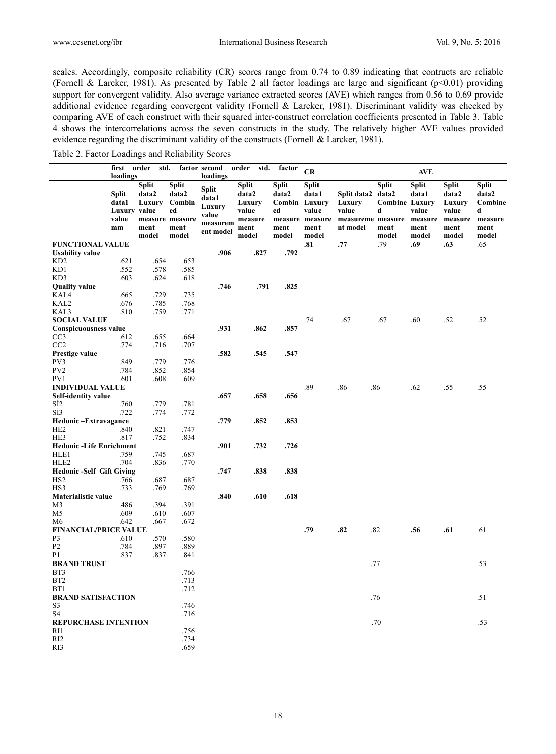scales. Accordingly, composite reliability (CR) scores range from 0.74 to 0.89 indicating that contructs are reliable (Fornell & Larcker, 1981). As presented by Table 2 all factor loadings are large and significant ( $p<0.01$ ) providing support for convergent validity. Also average variance extracted scores (AVE) which ranges from 0.56 to 0.69 provide additional evidence regarding convergent validity (Fornell & Larcker, 1981). Discriminant validity was checked by comparing AVE of each construct with their squared inter-construct correlation coefficients presented in Table 3. Table 4 shows the intercorrelations across the seven constructs in the study. The relatively higher AVE values provided evidence regarding the discriminant validity of the constructs (Fornell & Larcker, 1981).

Table 2. Factor Loadings and Reliability Scores

|                                  | first<br>loadings                              | order<br>std.                   |                                                          | factor second<br>loadings                     | order<br>std.                                       | factor                                              | CR                                                |                                                                   |                                            | <b>AVE</b>                     |                                              |                                                  |
|----------------------------------|------------------------------------------------|---------------------------------|----------------------------------------------------------|-----------------------------------------------|-----------------------------------------------------|-----------------------------------------------------|---------------------------------------------------|-------------------------------------------------------------------|--------------------------------------------|--------------------------------|----------------------------------------------|--------------------------------------------------|
|                                  | <b>Split</b><br>data1<br>Luxury value<br>value | <b>Split</b><br>data2<br>Luxury | <b>Split</b><br>data2<br>Combin<br>ed<br>measure measure | Split<br>data1<br>Luxury<br>value<br>measurem | <b>Split</b><br>data2<br>Luxury<br>value<br>measure | <b>Split</b><br>data2<br><b>Combin Luxury</b><br>ed | <b>Split</b><br>data1<br>value<br>measure measure | Split data2 data2<br>Luxury<br>value<br>measureme measure measure | <b>Split</b><br><b>Combine Luxury</b><br>d | <b>Split</b><br>data1<br>value | Split<br>data2<br>Luxury<br>value<br>measure | <b>Split</b><br>data2<br>Combine<br>d<br>measure |
|                                  | mm                                             | ment<br>model                   | ment<br>model                                            | ent model                                     | ment<br>model                                       | ment<br>model                                       | ment<br>model                                     | nt model                                                          | ment<br>model                              | ment<br>model                  | ment<br>model                                | ment<br>model                                    |
| <b>FUNCTIONAL VALUE</b>          |                                                |                                 |                                                          |                                               |                                                     |                                                     | .81                                               | .77                                                               | .79                                        | .69                            | .63                                          | .65                                              |
| <b>Usability value</b>           |                                                |                                 |                                                          | .906                                          | .827                                                | .792                                                |                                                   |                                                                   |                                            |                                |                                              |                                                  |
| KD <sub>2</sub>                  | .621                                           | .654                            | .653                                                     |                                               |                                                     |                                                     |                                                   |                                                                   |                                            |                                |                                              |                                                  |
| KD1                              | .552                                           | .578                            | .585                                                     |                                               |                                                     |                                                     |                                                   |                                                                   |                                            |                                |                                              |                                                  |
| KD3                              | .603                                           | .624                            | .618                                                     |                                               |                                                     |                                                     |                                                   |                                                                   |                                            |                                |                                              |                                                  |
| <b>Quality value</b>             |                                                |                                 |                                                          | .746                                          | .791                                                | .825                                                |                                                   |                                                                   |                                            |                                |                                              |                                                  |
| KAL4                             | .665                                           | .729                            | .735                                                     |                                               |                                                     |                                                     |                                                   |                                                                   |                                            |                                |                                              |                                                  |
| KAL2                             | .676                                           | .785                            | .768                                                     |                                               |                                                     |                                                     |                                                   |                                                                   |                                            |                                |                                              |                                                  |
| KAL3                             | .810                                           | .759                            | .771                                                     |                                               |                                                     |                                                     |                                                   |                                                                   |                                            |                                |                                              |                                                  |
| <b>SOCIAL VALUE</b>              |                                                |                                 |                                                          |                                               |                                                     |                                                     | .74                                               | .67                                                               | .67                                        | .60                            | .52                                          | .52                                              |
| Conspicuousness value            |                                                |                                 |                                                          | .931                                          | .862                                                | .857                                                |                                                   |                                                                   |                                            |                                |                                              |                                                  |
| CC <sub>3</sub><br>CC2           | .612<br>.774                                   | .655                            | .664                                                     |                                               |                                                     |                                                     |                                                   |                                                                   |                                            |                                |                                              |                                                  |
| Prestige value                   |                                                | .716                            | .707                                                     | .582                                          | .545                                                | .547                                                |                                                   |                                                                   |                                            |                                |                                              |                                                  |
| PV3                              | .849                                           | .779                            | .776                                                     |                                               |                                                     |                                                     |                                                   |                                                                   |                                            |                                |                                              |                                                  |
| PV <sub>2</sub>                  | .784                                           | .852                            | .854                                                     |                                               |                                                     |                                                     |                                                   |                                                                   |                                            |                                |                                              |                                                  |
| PV1                              | .601                                           | .608                            | .609                                                     |                                               |                                                     |                                                     |                                                   |                                                                   |                                            |                                |                                              |                                                  |
| <b>INDIVIDUAL VALUE</b>          |                                                |                                 |                                                          |                                               |                                                     |                                                     | .89                                               | .86                                                               | .86                                        | .62                            | .55                                          | .55                                              |
| Self-identity value              |                                                |                                 |                                                          | .657                                          | .658                                                | .656                                                |                                                   |                                                                   |                                            |                                |                                              |                                                  |
| Sİ <sub>2</sub>                  | .760                                           | .779                            | .781                                                     |                                               |                                                     |                                                     |                                                   |                                                                   |                                            |                                |                                              |                                                  |
| Sİ3                              | .722                                           | .774                            | .772                                                     |                                               |                                                     |                                                     |                                                   |                                                                   |                                            |                                |                                              |                                                  |
| Hedonic – Extravagance           |                                                |                                 |                                                          | .779                                          | .852                                                | .853                                                |                                                   |                                                                   |                                            |                                |                                              |                                                  |
| HE <sub>2</sub>                  | .840                                           | .821                            | .747                                                     |                                               |                                                     |                                                     |                                                   |                                                                   |                                            |                                |                                              |                                                  |
| HE3                              | .817                                           | .752                            | .834                                                     |                                               |                                                     |                                                     |                                                   |                                                                   |                                            |                                |                                              |                                                  |
| <b>Hedonic-Life Enrichment</b>   |                                                |                                 |                                                          | .901                                          | .732                                                | .726                                                |                                                   |                                                                   |                                            |                                |                                              |                                                  |
| HLE1                             | .759                                           | .745                            | .687                                                     |                                               |                                                     |                                                     |                                                   |                                                                   |                                            |                                |                                              |                                                  |
| HLE <sub>2</sub>                 | .704                                           | .836                            | .770                                                     |                                               |                                                     |                                                     |                                                   |                                                                   |                                            |                                |                                              |                                                  |
| <b>Hedonic -Self-Gift Giving</b> |                                                |                                 |                                                          | .747                                          | .838                                                | .838                                                |                                                   |                                                                   |                                            |                                |                                              |                                                  |
| HS <sub>2</sub>                  | .766                                           | .687                            | .687                                                     |                                               |                                                     |                                                     |                                                   |                                                                   |                                            |                                |                                              |                                                  |
| HS3                              | .733                                           | .769                            | .769                                                     |                                               |                                                     |                                                     |                                                   |                                                                   |                                            |                                |                                              |                                                  |
| Materialistic value              |                                                |                                 |                                                          | .840                                          | .610                                                | .618                                                |                                                   |                                                                   |                                            |                                |                                              |                                                  |
| M <sub>3</sub>                   | .486                                           | .394                            | .391                                                     |                                               |                                                     |                                                     |                                                   |                                                                   |                                            |                                |                                              |                                                  |
| M <sub>5</sub>                   | .609                                           | .610                            | .607                                                     |                                               |                                                     |                                                     |                                                   |                                                                   |                                            |                                |                                              |                                                  |
| M6                               | .642                                           | .667                            | .672                                                     |                                               |                                                     |                                                     |                                                   |                                                                   |                                            |                                |                                              |                                                  |
| <b>FINANCIAL/PRICE VALUE</b>     |                                                |                                 |                                                          |                                               |                                                     |                                                     | .79                                               | .82                                                               | .82                                        | .56                            | .61                                          | .61                                              |
| P3                               | .610                                           | .570                            | .580                                                     |                                               |                                                     |                                                     |                                                   |                                                                   |                                            |                                |                                              |                                                  |
| P <sub>2</sub>                   | .784                                           | .897                            | .889                                                     |                                               |                                                     |                                                     |                                                   |                                                                   |                                            |                                |                                              |                                                  |
| P1                               | .837                                           | .837                            | .841                                                     |                                               |                                                     |                                                     |                                                   |                                                                   |                                            |                                |                                              |                                                  |
| <b>BRAND TRUST</b>               |                                                |                                 |                                                          |                                               |                                                     |                                                     |                                                   |                                                                   | .77                                        |                                |                                              | .53                                              |
| BT3                              |                                                |                                 | .766                                                     |                                               |                                                     |                                                     |                                                   |                                                                   |                                            |                                |                                              |                                                  |
| BT <sub>2</sub>                  |                                                |                                 | .713                                                     |                                               |                                                     |                                                     |                                                   |                                                                   |                                            |                                |                                              |                                                  |
| BT1                              |                                                |                                 | .712                                                     |                                               |                                                     |                                                     |                                                   |                                                                   |                                            |                                |                                              |                                                  |
| <b>BRAND SATISFACTION</b>        |                                                |                                 |                                                          |                                               |                                                     |                                                     |                                                   |                                                                   | .76                                        |                                |                                              | .51                                              |
| S3                               |                                                |                                 | .746                                                     |                                               |                                                     |                                                     |                                                   |                                                                   |                                            |                                |                                              |                                                  |
| <b>S4</b>                        |                                                |                                 | .716                                                     |                                               |                                                     |                                                     |                                                   |                                                                   |                                            |                                |                                              |                                                  |
| <b>REPURCHASE INTENTION</b>      |                                                |                                 |                                                          |                                               |                                                     |                                                     |                                                   |                                                                   | .70                                        |                                |                                              | .53                                              |
| RI1                              |                                                |                                 | .756                                                     |                                               |                                                     |                                                     |                                                   |                                                                   |                                            |                                |                                              |                                                  |
| RI <sub>2</sub>                  |                                                |                                 | .734                                                     |                                               |                                                     |                                                     |                                                   |                                                                   |                                            |                                |                                              |                                                  |
| RI3                              |                                                |                                 | .659                                                     |                                               |                                                     |                                                     |                                                   |                                                                   |                                            |                                |                                              |                                                  |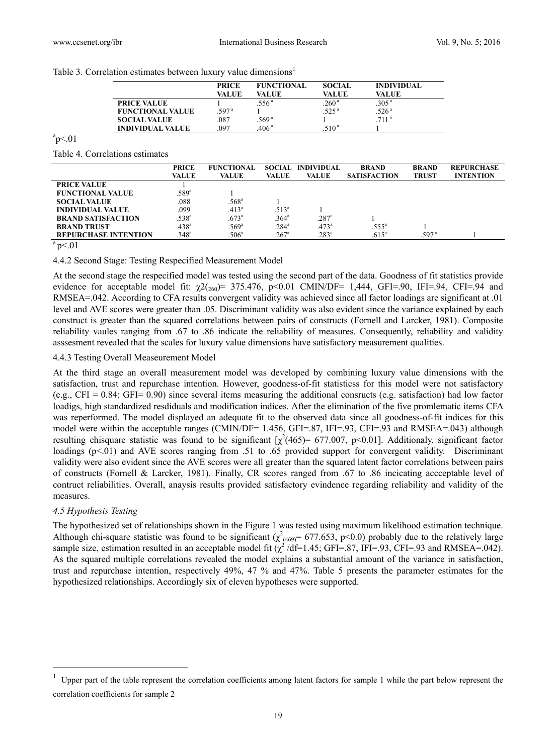| Table 3. Correlation estimates between luxury value dimensions <sup>1</sup> |  |  |  |
|-----------------------------------------------------------------------------|--|--|--|
|                                                                             |  |  |  |

|                         | <b>PRICE</b>     | <b>FUNCTIONAL</b> | <b>SOCIAL</b>     | <b>INDIVIDUAL</b> |
|-------------------------|------------------|-------------------|-------------------|-------------------|
|                         | VALUE            | VALUE             | VALUE             | VALUE             |
| <b>PRICE VALUE</b>      |                  | .556 <sup>a</sup> | .260 $^{\rm a}$   | .305 <sup>a</sup> |
| <b>FUNCTIONAL VALUE</b> | 597 <sup>a</sup> |                   | .525 <sup>a</sup> | .526 <sup>a</sup> |
| <b>SOCIAL VALUE</b>     | .087             | .569ª             |                   | .711 <sup>a</sup> |
| <b>INDIVIDUAL VALUE</b> | 097              | .406ª             | .510 <sup>a</sup> |                   |

 $a_{\text{p} < .01}$ 

Table 4. Correlations estimates

|                             | PRICE<br><b>VALUE</b> | <b>FUNCTIONAL</b><br><b>VALUE</b> | <b>VALUE</b>        | SOCIAL INDIVIDUAL<br><b>VALUE</b> | <b>BRAND</b><br><b>SATISFACTION</b> | <b>BRAND</b><br><b>TRUST</b> | <b>REPURCHASE</b><br><b>INTENTION</b> |
|-----------------------------|-----------------------|-----------------------------------|---------------------|-----------------------------------|-------------------------------------|------------------------------|---------------------------------------|
| <b>PRICE VALUE</b>          |                       |                                   |                     |                                   |                                     |                              |                                       |
| <b>FUNCTIONAL VALUE</b>     | .589 <sup>a</sup>     |                                   |                     |                                   |                                     |                              |                                       |
| <b>SOCIAL VALUE</b>         | .088                  | .568 <sup>a</sup>                 |                     |                                   |                                     |                              |                                       |
| INDIVIDUAL VALUE            | .099                  | .413 <sup>a</sup>                 | $.513^a$            |                                   |                                     |                              |                                       |
| <b>BRAND SATISFACTION</b>   | $.538^{a}$            | $.673^{\circ}$                    | .364 <sup>a</sup>   | .287 <sup>a</sup>                 |                                     |                              |                                       |
| <b>BRAND TRUST</b>          | $.438$ <sup>a</sup>   | .569 <sup>a</sup>                 | $.284^{\circ}$      | $.473^{\rm a}$                    | $.555^{\circ}$                      |                              |                                       |
| <b>REPURCHASE INTENTION</b> | $.348^{\circ}$        | .506 <sup>a</sup>                 | $.267$ <sup>a</sup> | .283 <sup>a</sup>                 | .615 <sup>a</sup>                   | .597ª                        |                                       |

 $a$  p $< 01$ 

4.4.2 Second Stage: Testing Respecified Measurement Model

At the second stage the respecified model was tested using the second part of the data. Goodness of fit statistics provide evidence for acceptable model fit:  $\chi^2(260)$  = 375.476, p<0.01 CMIN/DF= 1,444, GFI=.90, IFI=.94, CFI=.94 and RMSEA=.042. According to CFA results convergent validity was achieved since all factor loadings are significant at .01 level and AVE scores were greater than .05. Discriminant validity was also evident since the variance explained by each construct is greater than the squared correlations between pairs of constructs (Fornell and Larcker, 1981). Composite reliability vaules ranging from .67 to .86 indicate the reliability of measures. Consequently, reliability and validity asssesment revealed that the scales for luxury value dimensions have satisfactory measurement qualities.

## 4.4.3 Testing Overall Measeurement Model

At the third stage an overall measurement model was developed by combining luxury value dimensions with the satisfaction, trust and repurchase intention. However, goodness-of-fit statisticss for this model were not satisfactory (e.g., CFI = 0.84; GFI= 0.90) since several items measuring the additional consructs (e.g. satisfaction) had low factor loadigs, high standardized resdiduals and modification indices. After the elimination of the five promlematic items CFA was reperformed. The model displayed an adequate fit to the observed data since all goodness-of-fit indices for this model were within the acceptable ranges (CMIN/DF= 1.456, GFI=.87, IFI=.93, CFI=.93 and RMSEA=.043) although resulting chisquare statistic was found to be significant  $[\chi^2(465) = 677.007, p<0.01]$ . Additionaly, significant factor loadings (p<.01) and AVE scores ranging from .51 to .65 provided support for convergent validity. Discriminant validity were also evident since the AVE scores were all greater than the squared latent factor correlations between pairs of constructs (Fornell & Larcker, 1981). Finally, CR scores ranged from .67 to .86 incicating accceptable level of contruct reliabilities. Overall, anaysis results provided satisfactory evindence regarding reliability and validity of the measures.

# *4.5 Hypothesis Testing*

 $\overline{a}$ 

The hypothesized set of relationships shown in the Figure 1 was tested using maximum likelihood estimation technique. Although chi-square statistic was found to be significant  $(\chi^2_{(469)} = 677.653, p<0.0)$  probably due to the relatively large sample size, estimation resulted in an acceptable model fit  $(\chi^2/df=1.45; GFI=.87, IFI=.93, CFI=.93$  and RMSEA=.042). As the squared multiple correlations revealed the model explains a substantial amount of the variance in satisfaction, trust and repurchase intention, respectively 49%, 47 % and 47%. Table 5 presents the parameter estimates for the hypothesized relationships. Accordingly six of eleven hypotheses were supported.

<sup>&</sup>lt;sup>1</sup> Upper part of the table represent the correlation coefficients among latent factors for sample 1 while the part below represent the correlation coefficients for sample 2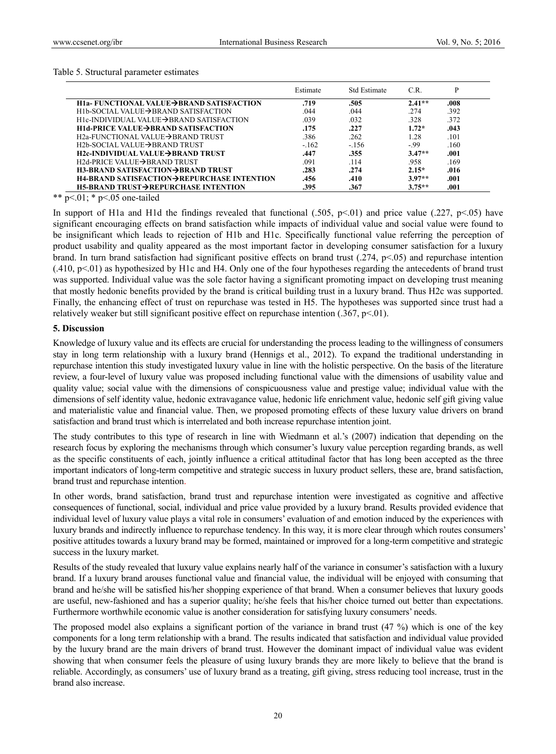| Estimate | <b>Std Estimate</b> | C.R.     |      |
|----------|---------------------|----------|------|
| .719     | .505                | $2.41**$ | .008 |
| .044     | .044                | .274     | 392  |
| .039     | .032                | .328     | 372  |
| .175     | .227                | $1.72*$  | .043 |
| -386     | .262                | 1.28     | .101 |
| $-162$   | $-156$              | $-99$    | .160 |
| .447     | .355                | $3.47**$ | .001 |
| .091     | .114                | .958     | .169 |
| .283     | .274                | $2.15*$  | .016 |
| .456     | .410                | $3.97**$ | .001 |
| .395     | .367                | $3.75**$ | .001 |
|          |                     |          |      |

#### Table 5. Structural parameter estimates

\*\* p<.01; \* p<.05 one-tailed

In support of H1a and H1d the findings revealed that functional (.505, p<.01) and price value (.227, p<.05) have significant encouraging effects on brand satisfaction while impacts of individual value and social value were found to be insignificant which leads to rejection of H1b and H1c. Specifically functional value referring the perception of product usability and quality appeared as the most important factor in developing consumer satisfaction for a luxury brand. In turn brand satisfaction had significant positive effects on brand trust (.274, p<.05) and repurchase intention  $(0.410, p<0.01)$  as hypothesized by H1c and H4. Only one of the four hypotheses regarding the antecedents of brand trust was supported. Individual value was the sole factor having a significant promoting impact on developing trust meaning that mostly hedonic benefits provided by the brand is critical building trust in a luxury brand. Thus H2c was supported. Finally, the enhancing effect of trust on repurchase was tested in H5. The hypotheses was supported since trust had a relatively weaker but still significant positive effect on repurchase intention  $(.367, p<.01)$ .

## **5. Discussion**

Knowledge of luxury value and its effects are crucial for understanding the process leading to the willingness of consumers stay in long term relationship with a luxury brand (Hennigs et al., 2012). To expand the traditional understanding in repurchase intention this study investigated luxury value in line with the holistic perspective. On the basis of the literature review, a four-level of luxury value was proposed including functional value with the dimensions of usability value and quality value; social value with the dimensions of conspicuousness value and prestige value; individual value with the dimensions of self identity value, hedonic extravagance value, hedonic life enrichment value, hedonic self gift giving value and materialistic value and financial value. Then, we proposed promoting effects of these luxury value drivers on brand satisfaction and brand trust which is interrelated and both increase repurchase intention joint.

The study contributes to this type of research in line with Wiedmann et al.'s (2007) indication that depending on the research focus by exploring the mechanisms through which consumer's luxury value perception regarding brands, as well as the specific constituents of each, jointly influence a critical attitudinal factor that has long been accepted as the three important indicators of long-term competitive and strategic success in luxury product sellers, these are, brand satisfaction, brand trust and repurchase intention.

In other words, brand satisfaction, brand trust and repurchase intention were investigated as cognitive and affective consequences of functional, social, individual and price value provided by a luxury brand. Results provided evidence that individual level of luxury value plays a vital role in consumers' evaluation of and emotion induced by the experiences with luxury brands and indirectly influence to repurchase tendency. In this way, it is more clear through which routes consumers' positive attitudes towards a luxury brand may be formed, maintained or improved for a long-term competitive and strategic success in the luxury market.

Results of the study revealed that luxury value explains nearly half of the variance in consumer's satisfaction with a luxury brand. If a luxury brand arouses functional value and financial value, the individual will be enjoyed with consuming that brand and he/she will be satisfied his/her shopping experience of that brand. When a consumer believes that luxury goods are useful, new-fashioned and has a superior quality; he/she feels that his/her choice turned out better than expectations. Furthermore worthwhile economic value is another consideration for satisfying luxury consumers' needs.

The proposed model also explains a significant portion of the variance in brand trust (47 %) which is one of the key components for a long term relationship with a brand. The results indicated that satisfaction and individual value provided by the luxury brand are the main drivers of brand trust. However the dominant impact of individual value was evident showing that when consumer feels the pleasure of using luxury brands they are more likely to believe that the brand is reliable. Accordingly, as consumers' use of luxury brand as a treating, gift giving, stress reducing tool increase, trust in the brand also increase.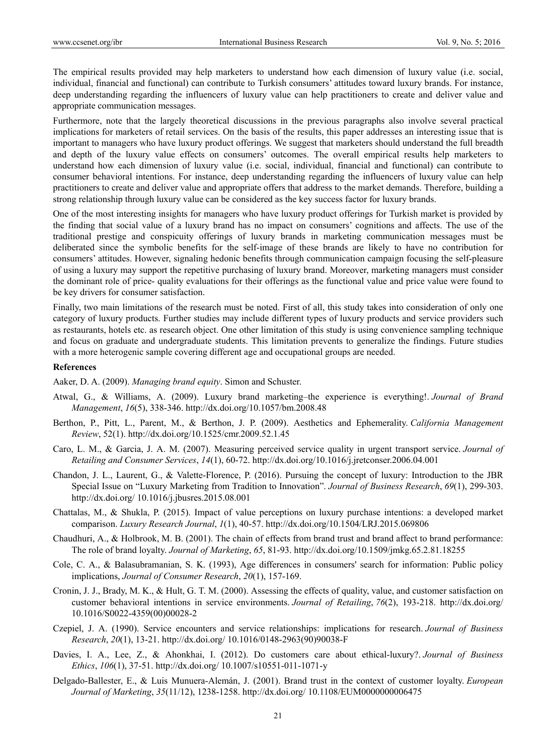The empirical results provided may help marketers to understand how each dimension of luxury value (i.e. social, individual, financial and functional) can contribute to Turkish consumers' attitudes toward luxury brands. For instance, deep understanding regarding the influencers of luxury value can help practitioners to create and deliver value and appropriate communication messages.

Furthermore, note that the largely theoretical discussions in the previous paragraphs also involve several practical implications for marketers of retail services. On the basis of the results, this paper addresses an interesting issue that is important to managers who have luxury product offerings. We suggest that marketers should understand the full breadth and depth of the luxury value effects on consumers' outcomes. The overall empirical results help marketers to understand how each dimension of luxury value (i.e. social, individual, financial and functional) can contribute to consumer behavioral intentions. For instance, deep understanding regarding the influencers of luxury value can help practitioners to create and deliver value and appropriate offers that address to the market demands. Therefore, building a strong relationship through luxury value can be considered as the key success factor for luxury brands.

One of the most interesting insights for managers who have luxury product offerings for Turkish market is provided by the finding that social value of a luxury brand has no impact on consumers' cognitions and affects. The use of the traditional prestige and conspicuity offerings of luxury brands in marketing communication messages must be deliberated since the symbolic benefits for the self-image of these brands are likely to have no contribution for consumers' attitudes. However, signaling hedonic benefits through communication campaign focusing the self-pleasure of using a luxury may support the repetitive purchasing of luxury brand. Moreover, marketing managers must consider the dominant role of price- quality evaluations for their offerings as the functional value and price value were found to be key drivers for consumer satisfaction.

Finally, two main limitations of the research must be noted. First of all, this study takes into consideration of only one category of luxury products. Further studies may include different types of luxury products and service providers such as restaurants, hotels etc. as research object. One other limitation of this study is using convenience sampling technique and focus on graduate and undergraduate students. This limitation prevents to generalize the findings. Future studies with a more heterogenic sample covering different age and occupational groups are needed.

#### **References**

Aaker, D. A. (2009). *Managing brand equity*. Simon and Schuster.

- Atwal, G., & Williams, A. (2009). Luxury brand marketing–the experience is everything!. *Journal of Brand Management*, *16*(5), 338-346. http://dx.doi.org/10.1057/bm.2008.48
- Berthon, P., Pitt, L., Parent, M., & Berthon, J. P. (2009). Aesthetics and Ephemerality. *California Management Review*, 52(1). http://dx.doi.org/10.1525/cmr.2009.52.1.45
- Caro, L. M., & Garcia, J. A. M. (2007). Measuring perceived service quality in urgent transport service. *Journal of Retailing and Consumer Services*, *14*(1), 60-72. http://dx.doi.org/10.1016/j.jretconser.2006.04.001
- Chandon, J. L., Laurent, G., & Valette-Florence, P. (2016). Pursuing the concept of luxury: Introduction to the JBR Special Issue on "Luxury Marketing from Tradition to Innovation". *Journal of Business Research*, *69*(1), 299-303. http://dx.doi.org/ 10.1016/j.jbusres.2015.08.001
- Chattalas, M., & Shukla, P. (2015). Impact of value perceptions on luxury purchase intentions: a developed market comparison. *Luxury Research Journal*, *1*(1), 40-57. http://dx.doi.org/10.1504/LRJ.2015.069806
- Chaudhuri, A., & Holbrook, M. B. (2001). The chain of effects from brand trust and brand affect to brand performance: The role of brand loyalty. *Journal of Marketing*, *65*, 81-93. http://dx.doi.org/10.1509/jmkg.65.2.81.18255
- Cole, C. A., & Balasubramanian, S. K. (1993), Age differences in consumers' search for information: Public policy implications, *Journal of Consumer Research*, *20*(1), 157-169.
- Cronin, J. J., Brady, M. K., & Hult, G. T. M. (2000). Assessing the effects of quality, value, and customer satisfaction on customer behavioral intentions in service environments. *Journal of Retailing*, *76*(2), 193-218. http://dx.doi.org/ 10.1016/S0022-4359(00)00028-2
- Czepiel, J. A. (1990). Service encounters and service relationships: implications for research. *Journal of Business Research*, *20*(1), 13-21. http://dx.doi.org/ 10.1016/0148-2963(90)90038-F
- Davies, I. A., Lee, Z., & Ahonkhai, I. (2012). Do customers care about ethical-luxury?. *Journal of Business Ethics*, *106*(1), 37-51. http://dx.doi.org/ 10.1007/s10551-011-1071-y
- Delgado-Ballester, E., & Luis Munuera-Alemán, J. (2001). Brand trust in the context of customer loyalty. *European Journal of Marketing*, *35*(11/12), 1238-1258. http://dx.doi.org/ 10.1108/EUM0000000006475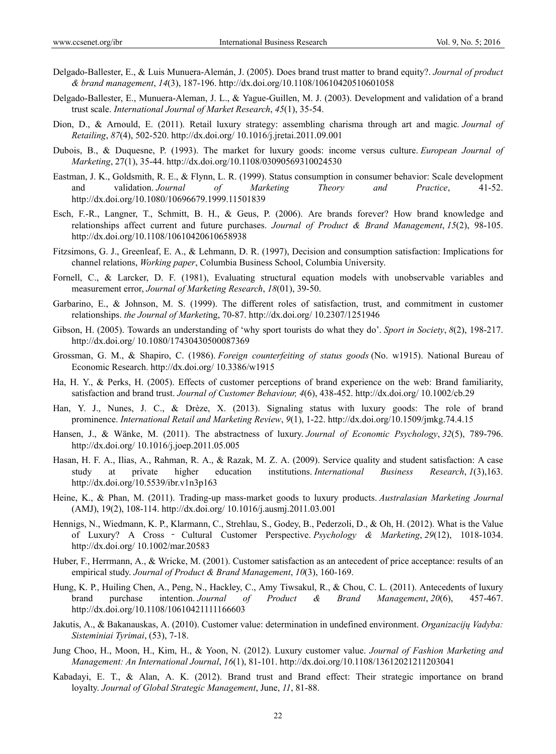- Delgado-Ballester, E., & Luis Munuera-Alemán, J. (2005). Does brand trust matter to brand equity?. *Journal of product & brand management*, *14*(3), 187-196. http://dx.doi.org/10.1108/10610420510601058
- Delgado-Ballester, E., Munuera-Aleman, J. L., & Yague-Guillen, M. J. (2003). Development and validation of a brand trust scale. *International Journal of Market Research*, *45*(1), 35-54.
- Dion, D., & Arnould, E. (2011). Retail luxury strategy: assembling charisma through art and magic*. Journal of Retailing*, *87*(4), 502-520. http://dx.doi.org/ 10.1016/j.jretai.2011.09.001
- Dubois, B., & Duquesne, P. (1993). The market for luxury goods: income versus culture. *European Journal of Marketing*, 27(1), 35-44. http://dx.doi.org/10.1108/03090569310024530
- Eastman, J. K., Goldsmith, R. E., & Flynn, L. R. (1999). Status consumption in consumer behavior: Scale development and validation. *Journal of Marketing Theory and Practice*, 41-52. http://dx.doi.org/10.1080/10696679.1999.11501839
- Esch, F.-R., Langner, T., Schmitt, B. H., & Geus, P. (2006). Are brands forever? How brand knowledge and relationships affect current and future purchases. *Journal of Product & Brand Management*, *15*(2), 98-105. http://dx.doi.org/10.1108/10610420610658938
- Fitzsimons, G. J., Greenleaf, E. A., & Lehmann, D. R. (1997), Decision and consumption satisfaction: Implications for channel relations, *Working paper*, Columbia Business School, Columbia University.
- Fornell, C., & Larcker, D. F. (1981), Evaluating structural equation models with unobservable variables and measurement error, *Journal of Marketing Research*, *18*(01), 39-50.
- Garbarino, E., & Johnson, M. S. (1999). The different roles of satisfaction, trust, and commitment in customer relationships. *the Journal of Marketi*ng, 70-87. http://dx.doi.org/ 10.2307/1251946
- Gibson, H. (2005). Towards an understanding of 'why sport tourists do what they do'. *Sport in Society*, *8*(2), 198-217. http://dx.doi.org/ 10.1080/17430430500087369
- Grossman, G. M., & Shapiro, C. (1986). *Foreign counterfeiting of status goods* (No. w1915). National Bureau of Economic Research. http://dx.doi.org/ 10.3386/w1915
- Ha, H. Y., & Perks, H. (2005). Effects of customer perceptions of brand experience on the web: Brand familiarity, satisfaction and brand trust. *Journal of Customer Behaviour, 4*(6), 438-452. http://dx.doi.org/ 10.1002/cb.29
- Han, Y. J., Nunes, J. C., & Drèze, X. (2013). Signaling status with luxury goods: The role of brand prominence. *International Retail and Marketing Review*, *9*(1), 1-22. http://dx.doi.org/10.1509/jmkg.74.4.15
- Hansen, J., & Wänke, M. (2011). The abstractness of luxury. *Journal of Economic Psychology*, *32*(5), 789-796. http://dx.doi.org/ 10.1016/j.joep.2011.05.005
- Hasan, H. F. A., Ilias, A., Rahman, R. A., & Razak, M. Z. A. (2009). Service quality and student satisfaction: A case study at private higher education institutions. *International Business Research*, *1*(3),163. http://dx.doi.org/10.5539/ibr.v1n3p163
- Heine, K., & Phan, M. (2011). Trading-up mass-market goods to luxury products. *Australasian Marketing Journal*  (AMJ), 19(2), 108-114. http://dx.doi.org/ 10.1016/j.ausmj.2011.03.001
- Hennigs, N., Wiedmann, K. P., Klarmann, C., Strehlau, S., Godey, B., Pederzoli, D., & Oh, H. (2012). What is the Value of Luxury? A Cross ‐ Cultural Customer Perspective. *Psychology & Marketing*, *29*(12), 1018-1034. http://dx.doi.org/ 10.1002/mar.20583
- Huber, F., Herrmann, A., & Wricke, M. (2001). Customer satisfaction as an antecedent of price acceptance: results of an empirical study. *Journal of Product & Brand Management*, *10*(3), 160-169.
- Hung, K. P., Huiling Chen, A., Peng, N., Hackley, C., Amy Tiwsakul, R., & Chou, C. L. (2011). Antecedents of luxury brand purchase intention. *Journal of Product & Brand Management*, *20*(6), 457-467. http://dx.doi.org/10.1108/10610421111166603
- Jakutis, A., & Bakanauskas, A. (2010). Customer value: determination in undefined environment. *Organizacijų Vadyba: Sisteminiai Tyrimai*, (53), 7-18.
- Jung Choo, H., Moon, H., Kim, H., & Yoon, N. (2012). Luxury customer value. *Journal of Fashion Marketing and Management: An International Journal*, *16*(1), 81-101. http://dx.doi.org/10.1108/13612021211203041
- Kabadayi, E. T., & Alan, A. K. (2012). Brand trust and Brand effect: Their strategic importance on brand loyalty. *Journal of Global Strategic Management*, June, *11*, 81-88.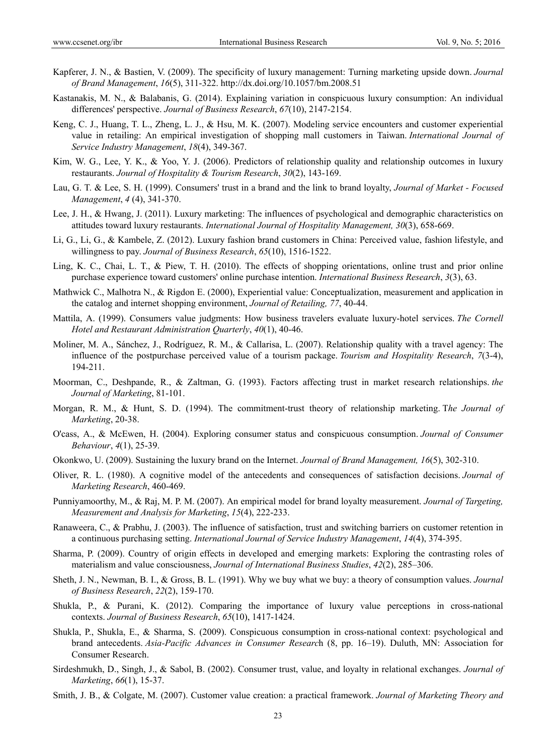- Kapferer, J. N., & Bastien, V. (2009). The specificity of luxury management: Turning marketing upside down. *Journal of Brand Management*, *16*(5), 311-322. http://dx.doi.org/10.1057/bm.2008.51
- Kastanakis, M. N., & Balabanis, G. (2014). Explaining variation in conspicuous luxury consumption: An individual differences' perspective. *Journal of Business Research*, *67*(10), 2147-2154.
- Keng, C. J., Huang, T. L., Zheng, L. J., & Hsu, M. K. (2007). Modeling service encounters and customer experiential value in retailing: An empirical investigation of shopping mall customers in Taiwan. *International Journal of Service Industry Management*, *18*(4), 349-367.
- Kim, W. G., Lee, Y. K., & Yoo, Y. J. (2006). Predictors of relationship quality and relationship outcomes in luxury restaurants. *Journal of Hospitality & Tourism Research*, *30*(2), 143-169.
- Lau, G. T. & Lee, S. H. (1999). Consumers' trust in a brand and the link to brand loyalty, *Journal of Market Focused Management*, *4* (4), 341-370.
- Lee, J. H., & Hwang, J. (2011). Luxury marketing: The influences of psychological and demographic characteristics on attitudes toward luxury restaurants. *International Journal of Hospitality Management, 30*(3), 658-669.
- Li, G., Li, G., & Kambele, Z. (2012). Luxury fashion brand customers in China: Perceived value, fashion lifestyle, and willingness to pay. *Journal of Business Research*, *65*(10), 1516-1522.
- Ling, K. C., Chai, L. T., & Piew, T. H. (2010). The effects of shopping orientations, online trust and prior online purchase experience toward customers' online purchase intention. *International Business Research*, *3*(3), 63.
- Mathwick C., Malhotra N., & Rigdon E. (2000), Experiential value: Conceptualization, measurement and application in the catalog and internet shopping environment, *Journal of Retailing, 77*, 40-44.
- Mattila, A. (1999). Consumers value judgments: How business travelers evaluate luxury-hotel services. *The Cornell Hotel and Restaurant Administration Quarterly*, *40*(1), 40-46.
- Moliner, M. A., Sánchez, J., Rodríguez, R. M., & Callarisa, L. (2007). Relationship quality with a travel agency: The influence of the postpurchase perceived value of a tourism package. *Tourism and Hospitality Research*, *7*(3-4), 194-211.
- Moorman, C., Deshpande, R., & Zaltman, G. (1993). Factors affecting trust in market research relationships. *the Journal of Marketing*, 81-101.
- Morgan, R. M., & Hunt, S. D. (1994). The commitment-trust theory of relationship marketing. T*he Journal of Marketing*, 20-38.
- O'cass, A., & McEwen, H. (2004). Exploring consumer status and conspicuous consumption. *Journal of Consumer Behaviour*, *4*(1), 25-39.
- Okonkwo, U. (2009). Sustaining the luxury brand on the Internet. *Journal of Brand Management, 16*(5), 302-310.
- Oliver, R. L. (1980). A cognitive model of the antecedents and consequences of satisfaction decisions. *Journal of Marketing Research*, 460-469.
- Punniyamoorthy, M., & Raj, M. P. M. (2007). An empirical model for brand loyalty measurement. *Journal of Targeting, Measurement and Analysis for Marketing*, *15*(4), 222-233.
- Ranaweera, C., & Prabhu, J. (2003). The influence of satisfaction, trust and switching barriers on customer retention in a continuous purchasing setting. *International Journal of Service Industry Management*, *14*(4), 374-395.
- Sharma, P. (2009). Country of origin effects in developed and emerging markets: Exploring the contrasting roles of materialism and value consciousness, *Journal of International Business Studies*, *42*(2), 285–306.
- Sheth, J. N., Newman, B. I., & Gross, B. L. (1991). Why we buy what we buy: a theory of consumption values. *Journal of Business Research*, *22*(2), 159-170.
- Shukla, P., & Purani, K. (2012). Comparing the importance of luxury value perceptions in cross-national contexts. *Journal of Business Research*, *65*(10), 1417-1424.
- Shukla, P., Shukla, E., & Sharma, S. (2009). Conspicuous consumption in cross-national context: psychological and brand antecedents. *Asia-Pacific Advances in Consumer Researc*h (8, pp. 16–19). Duluth, MN: Association for Consumer Research.
- Sirdeshmukh, D., Singh, J., & Sabol, B. (2002). Consumer trust, value, and loyalty in relational exchanges. *Journal of Marketing*, *66*(1), 15-37.
- Smith, J. B., & Colgate, M. (2007). Customer value creation: a practical framework. *Journal of Marketing Theory and*